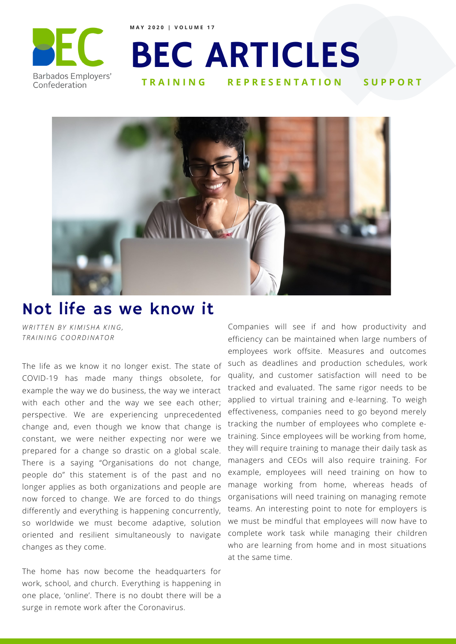

**M A Y 2 0 2 0 | V O L U M E 1 7**

## BEC ARTICLES **REPRESENTATION**



## Not life as we know it

*W R I T T EN B Y K I M I SHA K ING, T R A INING C O O RDINA T O R*

The life as we know it no longer exist. The state of COVID-19 has made many things obsolete, for example the way we do business, the way we interact with each other and the way we see each other; perspective. We are experiencing unprecedented change and, even though we know that change is constant, we were neither expecting nor were we prepared for a change so drastic on a global scale. There is a saying "Organisations do not change, people do" this statement is of the past and no longer applies as both organizations and people are now forced to change. We are forced to do things differently and everything is happening concurrently, so worldwide we must become adaptive, solution oriented and resilient simultaneously to navigate changes as they come.

The home has now become the headquarters for work, school, and church. Everything is happening in one place, 'online'. There is no doubt there will be a surge in remote work after the Coronavirus.

Companies will see if and how productivity and efficiency can be maintained when large numbers of employees work offsite. Measures and outcomes such as deadlines and production schedules, work quality, and customer satisfaction will need to be tracked and evaluated. The same rigor needs to be applied to virtual training and e-learning. To weigh effectiveness, companies need to go beyond merely tracking the number of employees who complete etraining. Since employees will be working from home, they will require training to manage their daily task as managers and CEOs will also require training. For example, employees will need training on how to manage working from home, whereas heads of organisations will need training on managing remote teams. An interesting point to note for employers is we must be mindful that employees will now have to complete work task while managing their children who are learning from home and in most situations at the same time.